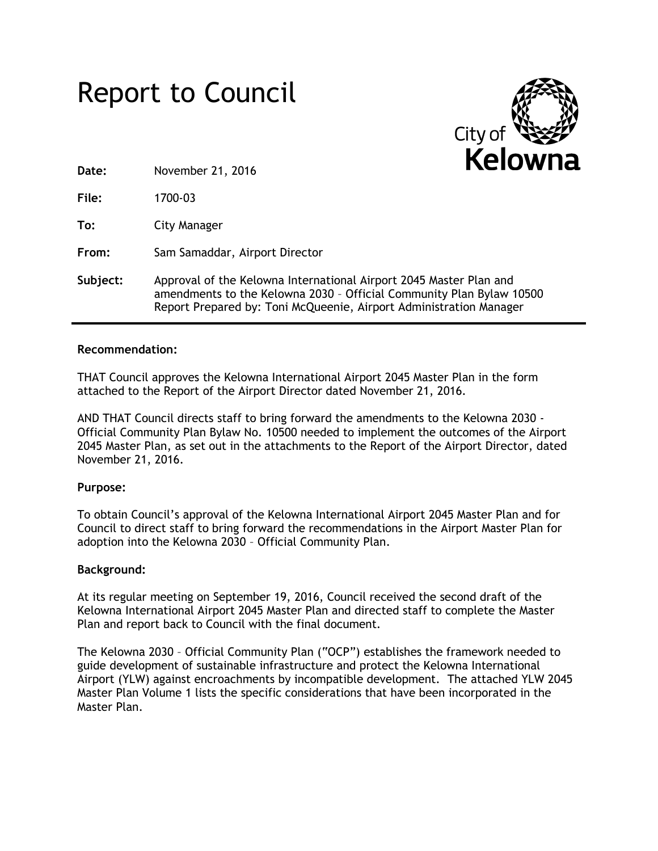



**Date:** November 21, 2016

**File:** 1700-03

**To:** City Manager

**From:** Sam Samaddar, Airport Director

**Subject:** Approval of the Kelowna International Airport 2045 Master Plan and amendments to the Kelowna 2030 – Official Community Plan Bylaw 10500 Report Prepared by: Toni McQueenie, Airport Administration Manager

## **Recommendation:**

THAT Council approves the Kelowna International Airport 2045 Master Plan in the form attached to the Report of the Airport Director dated November 21, 2016.

AND THAT Council directs staff to bring forward the amendments to the Kelowna 2030 - Official Community Plan Bylaw No. 10500 needed to implement the outcomes of the Airport 2045 Master Plan, as set out in the attachments to the Report of the Airport Director, dated November 21, 2016.

## **Purpose:**

To obtain Council's approval of the Kelowna International Airport 2045 Master Plan and for Council to direct staff to bring forward the recommendations in the Airport Master Plan for adoption into the Kelowna 2030 – Official Community Plan.

## **Background:**

At its regular meeting on September 19, 2016, Council received the second draft of the Kelowna International Airport 2045 Master Plan and directed staff to complete the Master Plan and report back to Council with the final document.

The Kelowna 2030 – Official Community Plan ("OCP") establishes the framework needed to guide development of sustainable infrastructure and protect the Kelowna International Airport (YLW) against encroachments by incompatible development. The attached YLW 2045 Master Plan Volume 1 lists the specific considerations that have been incorporated in the Master Plan.